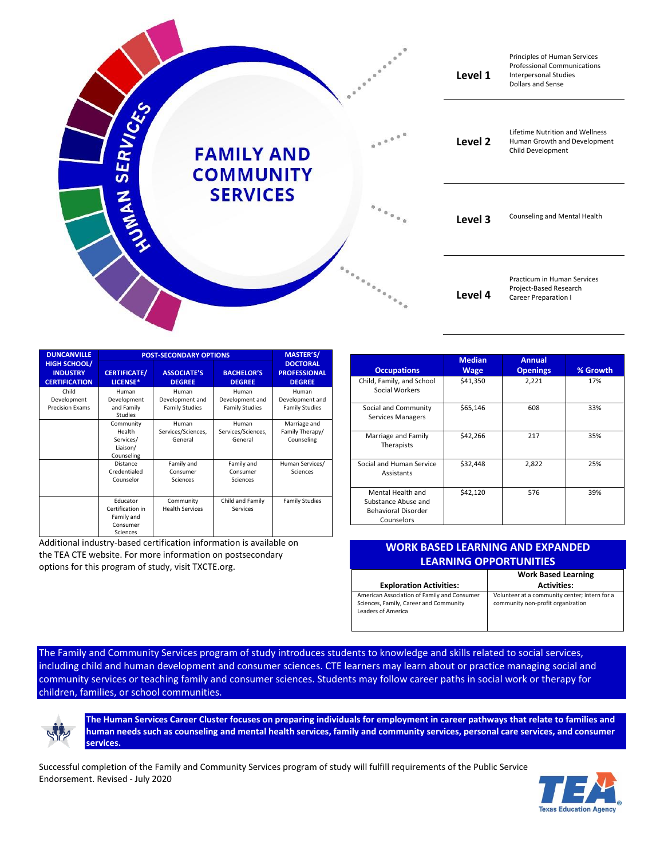|                 |                                       |                                                  | Level 1 | Principles of Human Services<br><b>Professional Communications</b><br><b>Interpersonal Studies</b><br><b>Dollars and Sense</b> |
|-----------------|---------------------------------------|--------------------------------------------------|---------|--------------------------------------------------------------------------------------------------------------------------------|
| <b>SERVICES</b> | <b>FAMILY AND</b><br><b>COMMUNITY</b> | $e^{\pm \frac{1}{2} \left( \frac{1}{2} \right)}$ | Level 2 | Lifetime Nutrition and Wellness<br>Human Growth and Development<br>Child Development                                           |
| <b>NAMPICK</b>  | <b>SERVICES</b>                       |                                                  | Level 3 | Counseling and Mental Health                                                                                                   |
|                 |                                       |                                                  | Level 4 | Practicum in Human Services<br>Project-Based Research<br>Career Preparation I                                                  |

| <b>DUNCANVILLE</b>                                             | <b>POST-SECONDARY OPTIONS</b>                                      |                                                   |                                                   | <b>MASTER'S/</b>                                        |
|----------------------------------------------------------------|--------------------------------------------------------------------|---------------------------------------------------|---------------------------------------------------|---------------------------------------------------------|
| <b>HIGH SCHOOL/</b><br><b>INDUSTRY</b><br><b>CERTIFICATION</b> | <b>CERTIFICATE/</b><br>LICENSE*                                    | <b>ASSOCIATE'S</b><br><b>DEGREE</b>               | <b>BACHELOR'S</b><br><b>DEGREE</b>                | <b>DOCTORAL</b><br><b>PROFESSIONAL</b><br><b>DEGREE</b> |
| Child<br>Development<br><b>Precision Exams</b>                 | Human<br>Development<br>and Family<br>Studies                      | Human<br>Development and<br><b>Family Studies</b> | Human<br>Development and<br><b>Family Studies</b> | Human<br>Development and<br><b>Family Studies</b>       |
|                                                                | Community<br>Health<br>Services/<br>Liaison/<br>Counseling         | Human<br>Services/Sciences,<br>General            | Human<br>Services/Sciences,<br>General            | Marriage and<br>Family Therapy/<br>Counseling           |
|                                                                | Distance<br>Credentialed<br>Counselor                              | Family and<br>Consumer<br>Sciences                | Family and<br>Consumer<br>Sciences                | Human Services/<br>Sciences                             |
|                                                                | Educator<br>Certification in<br>Family and<br>Consumer<br>Sciences | Community<br><b>Health Services</b>               | Child and Family<br>Services                      | <b>Family Studies</b>                                   |

Additional industry-based certification information is available on the TEA CTE website. For more information on postsecondary options for this program of study, visit TXCTE.org.

| <b>Occupations</b>                                                                   | <b>Median</b><br><b>Wage</b> | <b>Annual</b><br><b>Openings</b> | % Growth |
|--------------------------------------------------------------------------------------|------------------------------|----------------------------------|----------|
| Child, Family, and School<br>Social Workers                                          | \$41,350                     | 2,221                            | 17%      |
| Social and Community<br>Services Managers                                            | \$65,146                     | 608                              | 33%      |
| Marriage and Family<br>Therapists                                                    | \$42,266                     | 217                              | 35%      |
| Social and Human Service<br>Assistants                                               | \$32,448                     | 2,822                            | 25%      |
| Mental Health and<br>Substance Abuse and<br><b>Behavioral Disorder</b><br>Counselors | \$42,120                     | 576                              | 39%      |

| <b>WORK BASED LEARNING AND EXPANDED</b> |                            |  |  |
|-----------------------------------------|----------------------------|--|--|
| <b>LEARNING OPPORTUNITIES</b>           |                            |  |  |
|                                         | <b>Work Based Learning</b> |  |  |
| Evaloration Activities                  | Activities.                |  |  |

| <b>Exploration Activities:</b>                                                                              | <b>Activities:</b>                                                                 |
|-------------------------------------------------------------------------------------------------------------|------------------------------------------------------------------------------------|
| American Association of Family and Consumer<br>Sciences, Family, Career and Community<br>Leaders of America | Volunteer at a community center; intern for a<br>community non-profit organization |

The Family and Community Services program of study introduces students to knowledge and skills related to social services, including child and human development and consumer sciences. CTE learners may learn about or practice managing social and community services or teaching family and consumer sciences. Students may follow career paths in social work or therapy for children, families, or school communities.



**The Human Services Career Cluster focuses on preparing individuals for employment in career pathways that relate to families and human needs such as counseling and mental health services, family and community services, personal care services, and consumer services.**

Successful completion of the Family and Community Services program of study will fulfill requirements of the Public Service Endorsement. Revised - July 2020